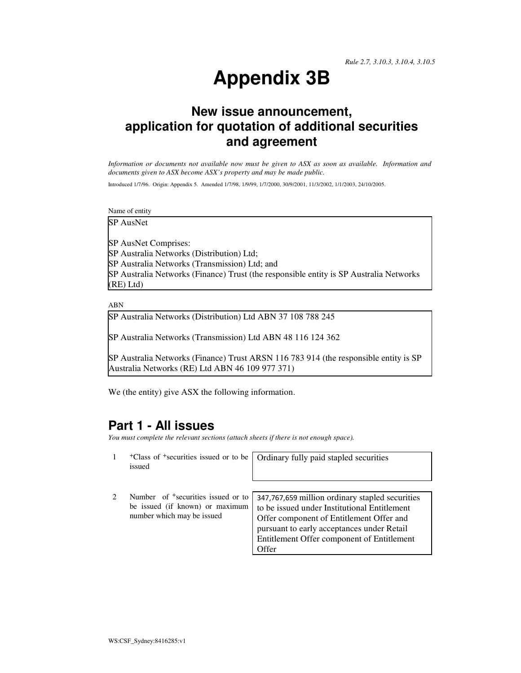# **Appendix 3B**

## **New issue announcement, application for quotation of additional securities and agreement**

*Information or documents not available now must be given to ASX as soon as available. Information and documents given to ASX become ASX's property and may be made public.* 

Introduced 1/7/96. Origin: Appendix 5. Amended 1/7/98, 1/9/99, 1/7/2000, 30/9/2001, 11/3/2002, 1/1/2003, 24/10/2005.

Name of entity

SP AusNet

SP AusNet Comprises: SP Australia Networks (Distribution) Ltd; SP Australia Networks (Transmission) Ltd; and SP Australia Networks (Finance) Trust (the responsible entity is SP Australia Networks (RE) Ltd)

ABN

SP Australia Networks (Distribution) Ltd ABN 37 108 788 245

SP Australia Networks (Transmission) Ltd ABN 48 116 124 362

SP Australia Networks (Finance) Trust ARSN 116 783 914 (the responsible entity is SP Australia Networks (RE) Ltd ABN 46 109 977 371)

We (the entity) give ASX the following information.

#### **Part 1 - All issues**

*You must complete the relevant sections (attach sheets if there is not enough space).*

- 1 +Class of +securities issued or to be issued Ordinary fully paid stapled securities
- 2 Number of <sup>+</sup>securities issued or to be issued (if known) or maximum number which may be issued 347,767,659 million ordinary stapled securities to be issued under Institutional Entitlement Offer component of Entitlement Offer and pursuant to early acceptances under Retail Entitlement Offer component of Entitlement **Offer**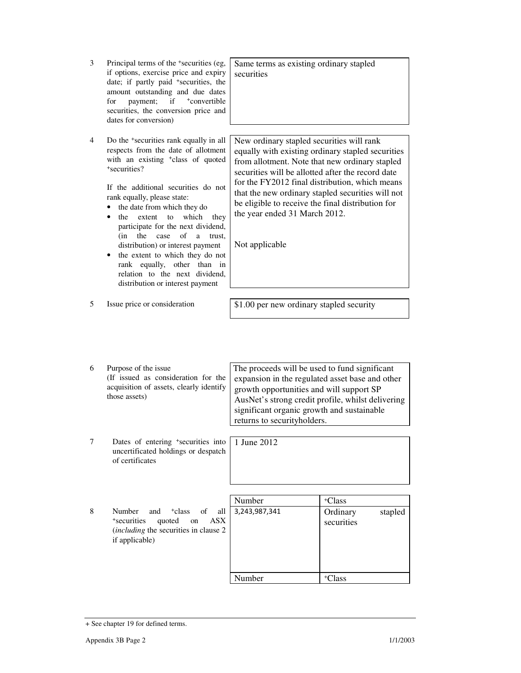| 3 | Principal terms of the <sup>+</sup> securities (eg,<br>if options, exercise price and expiry<br>date; if partly paid <sup>+</sup> securities, the<br>amount outstanding and due dates<br>payment;<br>if<br>+convertible<br>for<br>securities, the conversion price and<br>dates for conversion)                                                                                                                                                                                                                                                                         | Same terms as existing ordinary stapled<br>securities                                                                                                                                                                                                                                                                                                                                                                |                                                         |
|---|-------------------------------------------------------------------------------------------------------------------------------------------------------------------------------------------------------------------------------------------------------------------------------------------------------------------------------------------------------------------------------------------------------------------------------------------------------------------------------------------------------------------------------------------------------------------------|----------------------------------------------------------------------------------------------------------------------------------------------------------------------------------------------------------------------------------------------------------------------------------------------------------------------------------------------------------------------------------------------------------------------|---------------------------------------------------------|
| 4 | Do the <sup>+</sup> securities rank equally in all<br>respects from the date of allotment<br>with an existing <sup>+</sup> class of quoted<br>+securities?<br>If the additional securities do not<br>rank equally, please state:<br>the date from which they do<br>which<br>the<br>extent<br>to<br>they<br>participate for the next dividend,<br>of<br>(in<br>the<br>case<br>a<br>trust,<br>distribution) or interest payment<br>• the extent to which they do not<br>rank equally, other than in<br>relation to the next dividend,<br>distribution or interest payment | New ordinary stapled securities will rank<br>equally with existing ordinary stapled securities<br>from allotment. Note that new ordinary stapled<br>securities will be allotted after the record date<br>for the FY2012 final distribution, which means<br>that the new ordinary stapled securities will not<br>be eligible to receive the final distribution for<br>the year ended 31 March 2012.<br>Not applicable |                                                         |
| 5 | Issue price or consideration                                                                                                                                                                                                                                                                                                                                                                                                                                                                                                                                            | \$1.00 per new ordinary stapled security                                                                                                                                                                                                                                                                                                                                                                             |                                                         |
| 6 | Purpose of the issue<br>(If issued as consideration for the<br>acquisition of assets, clearly identify<br>those assets)                                                                                                                                                                                                                                                                                                                                                                                                                                                 | The proceeds will be used to fund significant<br>expansion in the regulated asset base and other<br>growth opportunities and will support SP<br>AusNet's strong credit profile, whilst delivering<br>significant organic growth and sustainable<br>returns to securityholders.                                                                                                                                       |                                                         |
| 7 | Dates of entering <sup>+</sup> securities into<br>uncertificated holdings or despatch<br>of certificates                                                                                                                                                                                                                                                                                                                                                                                                                                                                | 1 June 2012                                                                                                                                                                                                                                                                                                                                                                                                          |                                                         |
|   |                                                                                                                                                                                                                                                                                                                                                                                                                                                                                                                                                                         |                                                                                                                                                                                                                                                                                                                                                                                                                      |                                                         |
| 8 | Number<br><sup>+</sup> class<br>and<br>of<br>all<br><sup>+</sup> securities<br><b>ASX</b><br>quoted<br>on<br>(including the securities in clause 2)<br>if applicable)                                                                                                                                                                                                                                                                                                                                                                                                   | Number<br>3,243,987,341                                                                                                                                                                                                                                                                                                                                                                                              | <sup>+</sup> Class<br>Ordinary<br>stapled<br>securities |
|   |                                                                                                                                                                                                                                                                                                                                                                                                                                                                                                                                                                         | Number                                                                                                                                                                                                                                                                                                                                                                                                               | <sup>+</sup> Class                                      |
|   |                                                                                                                                                                                                                                                                                                                                                                                                                                                                                                                                                                         |                                                                                                                                                                                                                                                                                                                                                                                                                      |                                                         |

<sup>+</sup> See chapter 19 for defined terms.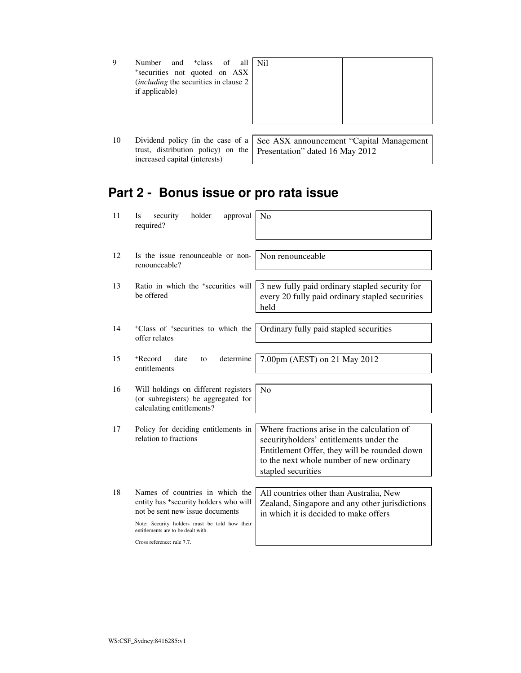| 9  | Number and <sup>+</sup> class of all   Nil    |                                                                               |
|----|-----------------------------------------------|-------------------------------------------------------------------------------|
|    | *securities not quoted on ASX                 |                                                                               |
|    | <i>(including the securities in clause 2)</i> |                                                                               |
|    | if applicable)                                |                                                                               |
|    |                                               |                                                                               |
|    |                                               |                                                                               |
|    |                                               |                                                                               |
|    |                                               |                                                                               |
| 10 |                                               | Dividend policy (in the case of a   See ASX announcement "Capital Management" |

10 Dividend policy (in the case of a trust, distribution policy) on the increased capital (interests) See ASX announcement "Capital Management Presentation" dated 16 May 2012

## **Part 2 - Bonus issue or pro rata issue**

| 11<br><b>Is</b> | holder<br>security<br>approval<br>required?                                                                                                                                                        | No                                                                                                                                                                                                       |
|-----------------|----------------------------------------------------------------------------------------------------------------------------------------------------------------------------------------------------|----------------------------------------------------------------------------------------------------------------------------------------------------------------------------------------------------------|
| 12              | Is the issue renounceable or non-<br>renounceable?                                                                                                                                                 | Non renounceable                                                                                                                                                                                         |
| 13              | Ratio in which the <sup>+</sup> securities will<br>be offered                                                                                                                                      | 3 new fully paid ordinary stapled security for<br>every 20 fully paid ordinary stapled securities<br>held                                                                                                |
| 14              | <sup>+</sup> Class of <sup>+</sup> securities to which the<br>offer relates                                                                                                                        | Ordinary fully paid stapled securities                                                                                                                                                                   |
| 15              | +Record<br>determine<br>date<br>to<br>entitlements                                                                                                                                                 | 7.00pm (AEST) on 21 May 2012                                                                                                                                                                             |
| 16              | Will holdings on different registers<br>(or subregisters) be aggregated for<br>calculating entitlements?                                                                                           | No                                                                                                                                                                                                       |
| 17              | Policy for deciding entitlements in<br>relation to fractions                                                                                                                                       | Where fractions arise in the calculation of<br>securityholders' entitlements under the<br>Entitlement Offer, they will be rounded down<br>to the next whole number of new ordinary<br>stapled securities |
| 18              | Names of countries in which the<br>entity has *security holders who will<br>not be sent new issue documents<br>Note: Security holders must be told how their<br>entitlements are to be dealt with. | All countries other than Australia, New<br>Zealand, Singapore and any other jurisdictions<br>in which it is decided to make offers                                                                       |
|                 | Cross reference: rule 7.7.                                                                                                                                                                         |                                                                                                                                                                                                          |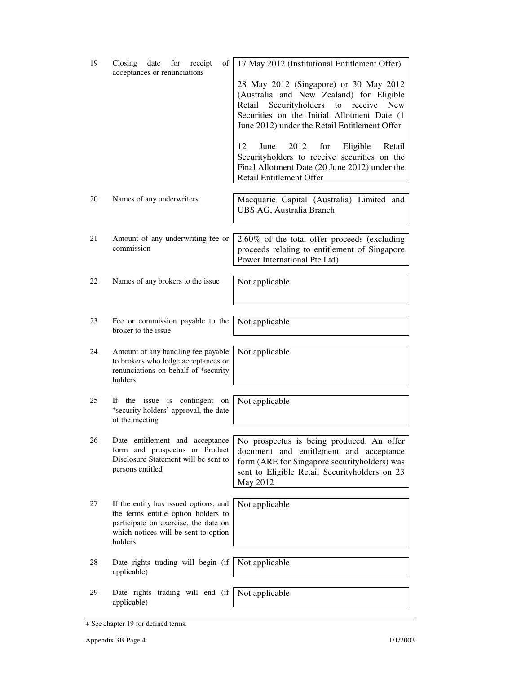| 19 | Closing<br>date<br>of<br>for<br>receipt<br>acceptances or renunciations                                                        | 17 May 2012 (Institutional Entitlement Offer)                                                                                                                                                                                               |
|----|--------------------------------------------------------------------------------------------------------------------------------|---------------------------------------------------------------------------------------------------------------------------------------------------------------------------------------------------------------------------------------------|
|    |                                                                                                                                | 28 May 2012 (Singapore) or 30 May 2012<br>(Australia and New Zealand) for Eligible<br>Securityholders<br><b>New</b><br>to receive<br>Retail<br>Securities on the Initial Allotment Date (1<br>June 2012) under the Retail Entitlement Offer |
|    |                                                                                                                                | 2012<br>12<br>June<br>for<br>Eligible<br>Retail<br>Securityholders to receive securities on the<br>Final Allotment Date (20 June 2012) under the<br><b>Retail Entitlement Offer</b>                                                         |
| 20 | Names of any underwriters                                                                                                      | Macquarie Capital (Australia) Limited and<br>UBS AG, Australia Branch                                                                                                                                                                       |
| 21 | Amount of any underwriting fee or<br>commission                                                                                | 2.60% of the total offer proceeds (excluding<br>proceeds relating to entitlement of Singapore<br>Power International Pte Ltd)                                                                                                               |
| 22 | Names of any brokers to the issue                                                                                              | Not applicable                                                                                                                                                                                                                              |
| 23 | Fee or commission payable to the<br>broker to the issue                                                                        | Not applicable                                                                                                                                                                                                                              |
| 24 | Amount of any handling fee payable<br>to brokers who lodge acceptances or<br>renunciations on behalf of +security<br>holders   | Not applicable                                                                                                                                                                                                                              |
| 25 | the issue is contingent on<br>If<br>*security holders' approval, the date<br>of the meeting                                    | Not applicable                                                                                                                                                                                                                              |
| 26 | Date entitlement and acceptance<br>form and prospectus or Product<br>Disclosure Statement will be sent to<br>persons entitled  | No prospectus is being produced. An offer<br>document and entitlement and acceptance<br>form (ARE for Singapore securityholders) was<br>sent to Eligible Retail Securityholders on 23<br>May 2012                                           |
| 27 | If the entity has issued options, and                                                                                          | Not applicable                                                                                                                                                                                                                              |
|    | the terms entitle option holders to<br>participate on exercise, the date on<br>which notices will be sent to option<br>holders |                                                                                                                                                                                                                                             |
| 28 | Date rights trading will begin (if<br>applicable)                                                                              | Not applicable                                                                                                                                                                                                                              |
| 29 | Date rights trading will end (if                                                                                               | Not applicable                                                                                                                                                                                                                              |
|    | applicable)                                                                                                                    |                                                                                                                                                                                                                                             |

<sup>+</sup> See chapter 19 for defined terms.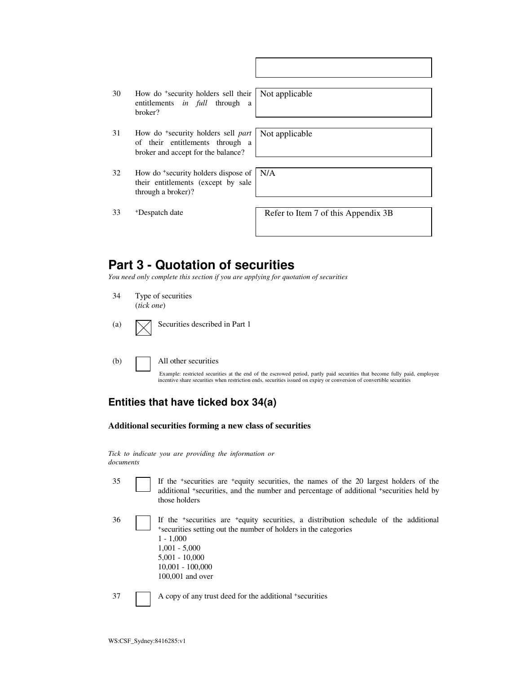| 30 | How do <sup>+</sup> security holders sell their |  |  |  |
|----|-------------------------------------------------|--|--|--|
|    | entitlements <i>in full</i> through a           |  |  |  |
|    | broker?                                         |  |  |  |

31 How do <sup>+</sup> security holders sell *part* of their entitlements through a broker and accept for the balance?

Not applicable

Not applicable

32 How do <sup>+</sup>security holders dispose of their entitlements (except by sale through a broker)? N/A

<sup>+</sup>Despatch date Refer to Item 7 of this Appendix 3B

### **Part 3 - Quotation of securities**

*You need only complete this section if you are applying for quotation of securities* 

- 34 Type of securities (*tick one*)
- (a)  $\bigvee$  Securities described in Part 1
- 

(b) All other securities

Example: restricted securities at the end of the escrowed period, partly paid securities that become fully paid, employee incentive share securities when restriction ends, securities issued on expiry or conversion of convertible securities

#### **Entities that have ticked box 34(a)**

#### **Additional securities forming a new class of securities**

*Tick to indicate you are providing the information or documents*

35 If the <sup>+</sup> securities are <sup>+</sup>equity securities, the names of the 20 largest holders of the additional <sup>+</sup>securities, and the number and percentage of additional <sup>+</sup>securities held by those holders

36 If the <sup>+</sup> securities are <sup>+</sup>equity securities, a distribution schedule of the additional + securities setting out the number of holders in the categories 1 - 1,000 1,001 - 5,000 5,001 - 10,000 10,001 - 100,000 100,001 and over

37 A copy of any trust deed for the additional +securities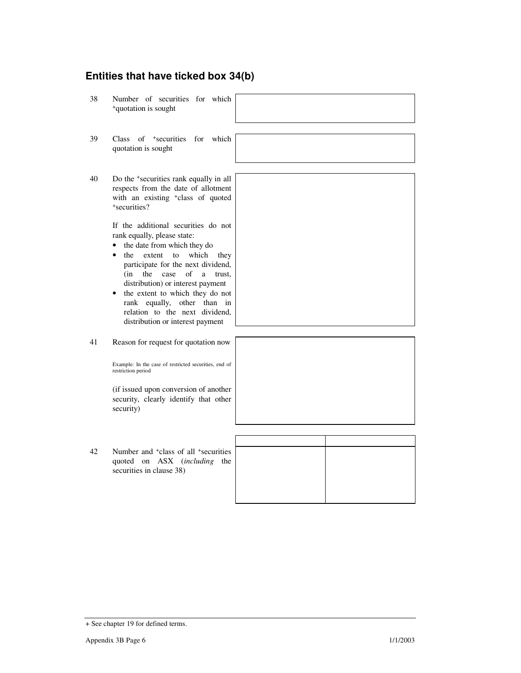#### **Entities that have ticked box 34(b)**

38 Number of securities for which <sup>+</sup>quotation is sought

39 Class of <sup>+</sup>securities for which quotation is sought

40 Do the <sup>+</sup> securities rank equally in all respects from the date of allotment with an existing <sup>+</sup>class of quoted + securities?

> If the additional securities do not rank equally, please state:

- the date from which they do
- the extent to which they participate for the next dividend, (in the case of a trust, distribution) or interest payment
- the extent to which they do not rank equally, other than in relation to the next dividend, distribution or interest payment
- 41 Reason for request for quotation now

Example: In the case of restricted securities, end of restriction period

(if issued upon conversion of another security, clearly identify that other security)

42 Number and <sup>+</sup>class of all <sup>+</sup>securities quoted on ASX (*including* the securities in clause 38)



| $\overline{ }$ |  |
|----------------|--|
| Đ              |  |
|                |  |
|                |  |
|                |  |
|                |  |

+ See chapter 19 for defined terms.